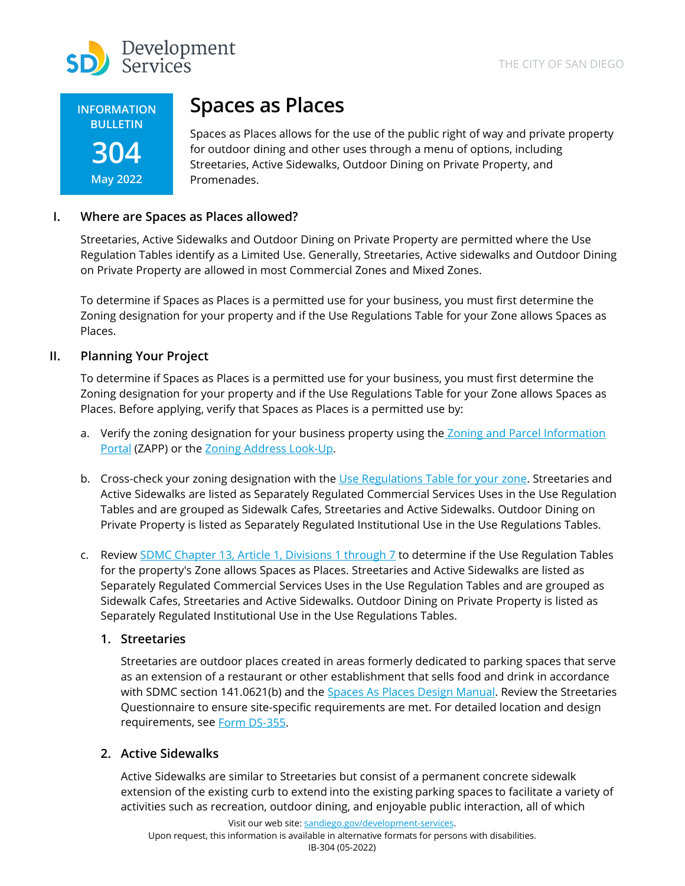



# **Spaces as Places**

Spaces as Places allows for the use of the public right of way and private property for outdoor dining and other uses through a menu of options, including Streetaries, Active Sidewalks, Outdoor Dining on Private Property, and Promenades.

# **I. Where are Spaces as Places allowed?**

Streetaries, Active Sidewalks and Outdoor Dining on Private Property are permitted where the Use Regulation Tables identify as a Limited Use. Generally, Streetaries, Active sidewalks and Outdoor Dining on Private Property are allowed in most Commercial Zones and Mixed Zones.

To determine if Spaces as Places is a permitted use for your business, you must first determine the Zoning designation for your property and if the Use Regulations Table for your Zone allows Spaces as Places.

## **II. Planning Your Project**

To determine if Spaces as Places is a permitted use for your business, you must first determine the Zoning designation for your property and if the Use Regulations Table for your Zone allows Spaces as Places. Before applying, verify that Spaces as Places is a permitted use by:

- a. Verify the zoning designation for your business property using the Zoning and Parcel [Information](https://sandiego.maps.arcgis.com/apps/webappviewer/index.html?id=3057676023954a828ad92ef22b5ff349) [Portal](https://sandiego.maps.arcgis.com/apps/webappviewer/index.html?id=3057676023954a828ad92ef22b5ff349) (ZAPP) or the Zoning Address [Look-Up.](https://apps3.sandiego.gov/siteinfoweb/begin.do)
- b. Cross-check your zoning designation with the Use [Regulations](https://www.sandiego.gov/city-clerk/officialdocs/municipal-code/chapter-13) Table for your zone. Streetaries and Active Sidewalks are listed as Separately Regulated Commercial Services Uses in the Use Regulation Tables and are grouped as Sidewalk Cafes, Streetaries and Active Sidewalks. Outdoor Dining on Private Property is listed as Separately Regulated Institutional Use in the Use Regulations Tables.
- c. Review SDMC Chapter [13, Article 1, Divisions 1 through 7](https://www.sandiego.gov/city-clerk/officialdocs/municipal-code/chapter-13) to determine if the Use Regulation Tables for the property's Zone allows Spaces as Places. Streetaries and Active Sidewalks are listed as Separately Regulated Commercial Services Uses in the Use Regulation Tables and are grouped as Sidewalk Cafes, Streetaries and Active Sidewalks. Outdoor Dining on Private Property is listed as Separately Regulated Institutional Use in the Use Regulations Tables.

## **1. Streetaries**

Streetaries are outdoor places created in areas formerly dedicated to parking spaces that serve as an extension of a restaurant or other establishment that sells food and drink in accordance with SDMC section 141.0621(b) and the Spaces As [Places Design Manual.](https://www.sandiego.gov/sites/default/files/spaces-as-places-draft-design-manual.pdf) Review the Streetaries Questionnaire to ensure site-specific requirements are met. For detailed location and design requirements, see [Form DS-355.](https://www.sandiego.gov/sites/default/files/ds-355_spaces_as_places_questionare.pdf)

## **2. Active Sidewalks**

Active Sidewalks are similar to Streetaries but consist of a permanent concrete sidewalk extension of the existing curb to extend into the existing parking spaces to facilitate a variety of activities such as recreation, outdoor dining, and enjoyable public interaction, all of which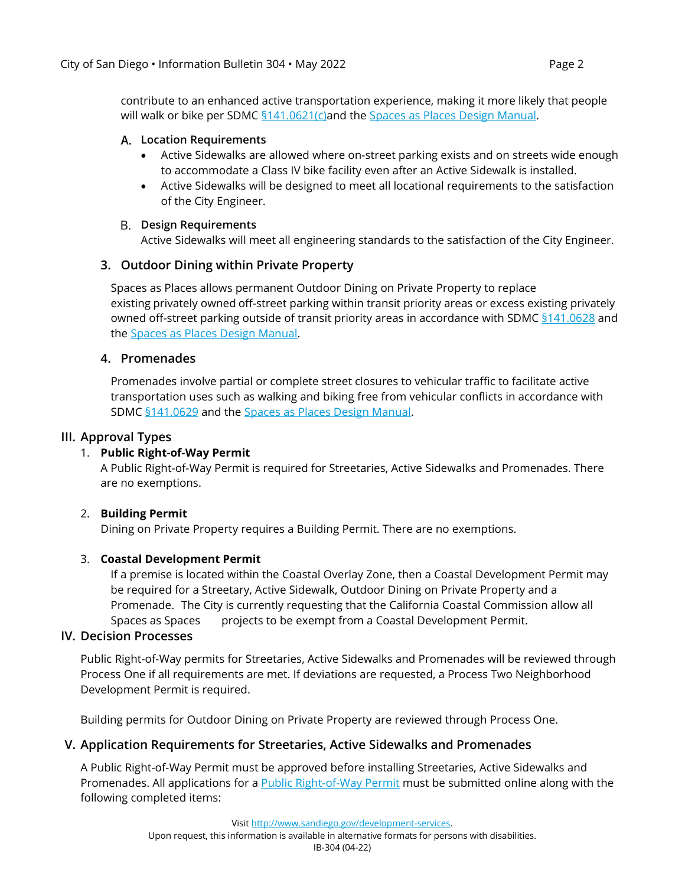contribute to an enhanced active transportation experience, making it more likely that people will walk or bike per SDMC [§141.0621\(c\)a](https://docs.sandiego.gov/municode/MuniCodeChapter14/Ch14Art01Division06.pdf#page=52)nd the [Spaces as Places Design Manual.](https://www.sandiego.gov/sites/default/files/spaces-as-places-draft-design-manual.pdf)

#### **Location Requirements**

- Active Sidewalks are allowed where on-street parking exists and on streets wide enough to accommodate a Class IV bike facility even after an Active Sidewalk is installed.
- Active Sidewalks will be designed to meet all locational requirements to the satisfaction of the City Engineer.

#### **Design Requirements**

Active Sidewalks will meet all engineering standards to the satisfaction of the City Engineer.

# **3. Outdoor Dining within Private Property**

Spaces as Places allows permanent Outdoor Dining on Private Property to replace existing privately owned off-street parking within transit priority areas or excess existing privately owned off-street parking outside of transit priority areas in accordance with SDMC [§141.0628](https://docs.sandiego.gov/municode/MuniCodeChapter14/Ch14Art01Division06.pdf#page=77) and the [Spaces as Places Design Manual.](https://www.sandiego.gov/sites/default/files/spaces-as-places-draft-design-manual.pdf)

## **4. Promenades**

Promenades involve partial or complete street closures to vehicular traffic to facilitate active transportation uses such as walking and biking free from vehicular conflicts in accordance with SDM[C §141.0629](https://docs.sandiego.gov/municode/MuniCodeChapter14/Ch14Art01Division06.pdf#page=74) and the [Spaces as Places Design Manual.](https://www.sandiego.gov/sites/default/files/spaces-as-places-draft-design-manual.pdf)

#### **III. Approval Types**

## 1. **Public Right-of-Way Permit**

A Public Right-of-Way Permit is required for Streetaries, Active Sidewalks and Promenades. There are no exemptions.

## 2. **Building Permit**

Dining on Private Property requires a Building Permit. There are no exemptions.

## 3. **Coastal Development Permit**

If a premise is located within the Coastal Overlay Zone, then a Coastal Development Permit may be required for a Streetary, Active Sidewalk, Outdoor Dining on Private Property and a Promenade. The City is currently requesting that the California Coastal Commission allow all Spaces as Spaces projects to be exempt from a Coastal Development Permit.

#### **IV. Decision Processes**

Public Right-of-Way permits for Streetaries, Active Sidewalks and Promenades will be reviewed through Process One if all requirements are met. If deviations are requested, a Process Two Neighborhood Development Permit is required.

Building permits for Outdoor Dining on Private Property are reviewed through Process One.

## **V. Application Requirements for Streetaries, Active Sidewalks and Promenades**

A Public Right-of-Way Permit must be approved before installing Streetaries, Active Sidewalks and Promenades. All applications for a [Public Right-of-Way Permit](https://www.sandiego.gov/development-services/permits/right-of-way-permit) must be submitted online along with the following completed items:

Visi[t http://www.sandiego.gov/development-services.](http://www.sandiego.gov/development-services)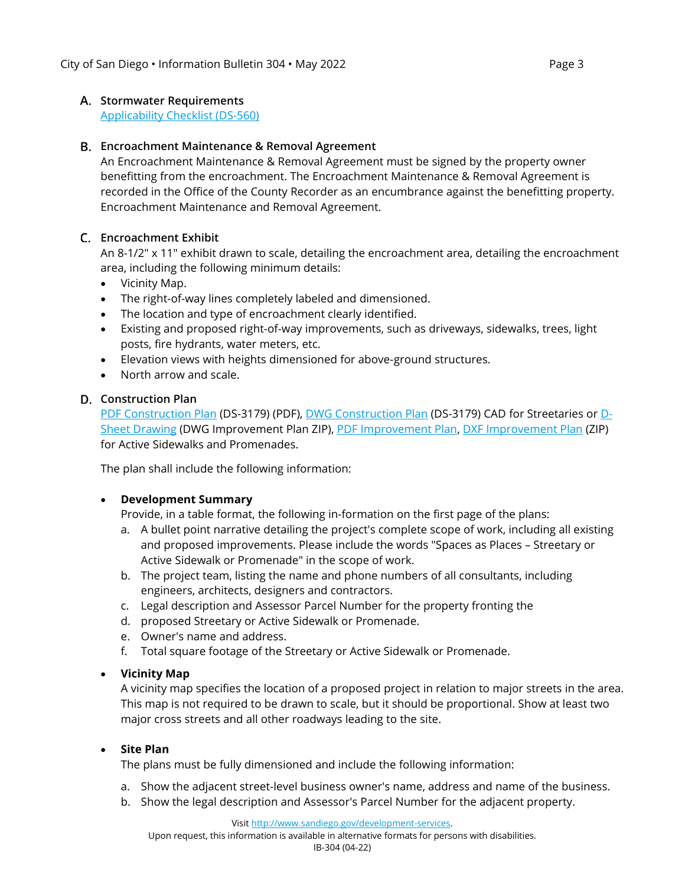## **Stormwater Requirements**

[Applicability Checklist \(DS-560\)](https://www.sandiego.gov/sites/default/files/ds560_0.pdf)

# **Encroachment Maintenance & Removal Agreement**

An Encroachment Maintenance & Removal Agreement must be signed by the property owner benefitting from the encroachment. The Encroachment Maintenance & Removal Agreement is recorded in the Office of the County Recorder as an encumbrance against the benefitting property. Encroachment Maintenance and Removal Agreement.

# **Encroachment Exhibit**

An 8-1/2" x 11" exhibit drawn to scale, detailing the encroachment area, detailing the encroachment area, including the following minimum details:

- Vicinity Map.
- The right-of-way lines completely labeled and dimensioned.
- The location and type of encroachment clearly identified.
- Existing and proposed right-of-way improvements, such as driveways, sidewalks, trees, light posts, fire hydrants, water meters, etc.
- Elevation views with heights dimensioned for above-ground structures.
- North arrow and scale.

# **Construction Plan**

[PDF Construction Plan](https://www.sandiego.gov/sites/default/files/dsdds3179.pdf) (DS-3179) (PDF), [DWG Construction Plan](https://www.sandiego.gov/sites/default/files/dsdds3179dwg.zip) (DS-3179) CAD for Streetaries or [D-](https://www.sandiego.gov/sites/default/files/dsdeng_improvementplandwg.zip)[Sheet Drawing](https://www.sandiego.gov/sites/default/files/dsdeng_improvementplandwg.zip) (DWG Improvement Plan ZIP), [PDF Improvement Plan,](https://www.sandiego.gov/sites/default/files/dsdeng_improvementplan.pdf) [DXF Improvement Plan](https://www.sandiego.gov/sites/default/files/dsdeng_improvementplandxf.zip) (ZIP) for Active Sidewalks and Promenades.

The plan shall include the following information:

## • **Development Summary**

Provide, in a table format, the following in-formation on the first page of the plans:

- a. A bullet point narrative detailing the project's complete scope of work, including all existing and proposed improvements. Please include the words "Spaces as Places – Streetary or Active Sidewalk or Promenade" in the scope of work.
- b. The project team, listing the name and phone numbers of all consultants, including engineers, architects, designers and contractors.
- c. Legal description and Assessor Parcel Number for the property fronting the
- d. proposed Streetary or Active Sidewalk or Promenade.
- e. Owner's name and address.
- f. Total square footage of the Streetary or Active Sidewalk or Promenade.

# • **Vicinity Map**

A vicinity map specifies the location of a proposed project in relation to major streets in the area. This map is not required to be drawn to scale, but it should be proportional. Show at least two major cross streets and all other roadways leading to the site.

## • **Site Plan**

The plans must be fully dimensioned and include the following information:

- a. Show the adjacent street-level business owner's name, address and name of the business.
- b. Show the legal description and Assessor's Parcel Number for the adjacent property.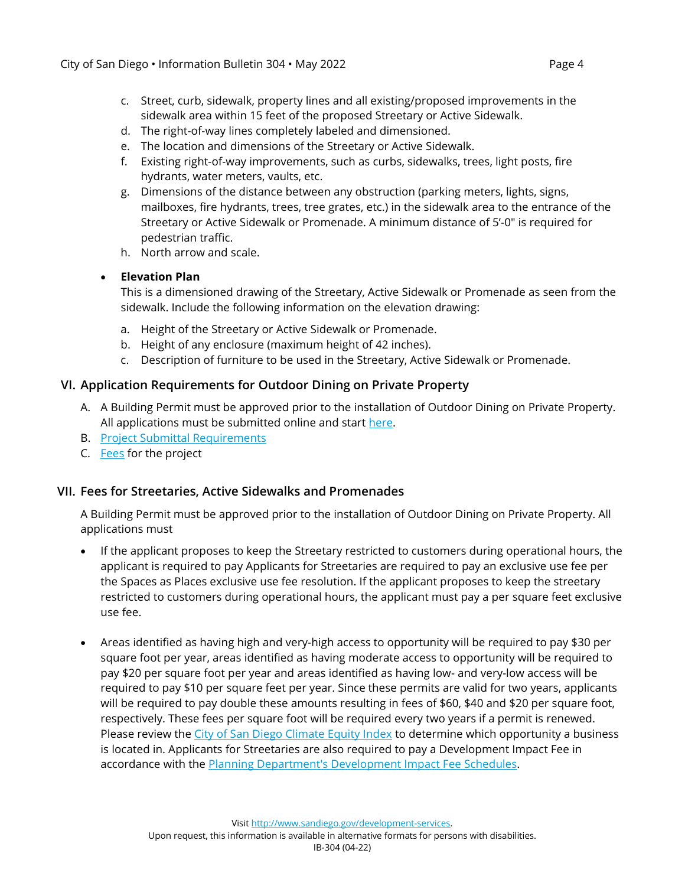- c. Street, curb, sidewalk, property lines and all existing/proposed improvements in the sidewalk area within 15 feet of the proposed Streetary or Active Sidewalk.
- d. The right-of-way lines completely labeled and dimensioned.
- e. The location and dimensions of the Streetary or Active Sidewalk.
- f. Existing right-of-way improvements, such as curbs, sidewalks, trees, light posts, fire hydrants, water meters, vaults, etc.
- g. Dimensions of the distance between any obstruction (parking meters, lights, signs, mailboxes, fire hydrants, trees, tree grates, etc.) in the sidewalk area to the entrance of the Streetary or Active Sidewalk or Promenade. A minimum distance of 5'-0" is required for pedestrian traffic.
- h. North arrow and scale.

#### • **Elevation Plan**

This is a dimensioned drawing of the Streetary, Active Sidewalk or Promenade as seen from the sidewalk. Include the following information on the elevation drawing:

- a. Height of the Streetary or Active Sidewalk or Promenade.
- b. Height of any enclosure (maximum height of 42 inches).
- c. Description of furniture to be used in the Streetary, Active Sidewalk or Promenade.

## **VI. Application Requirements for Outdoor Dining on Private Property**

- A. A Building Permit must be approved prior to the installation of Outdoor Dining on Private Property. All applications must be submitted online and start [here.](https://www.sandiego.gov/development-services/permits/building-permit)
- B. [Project Submittal Requirements](https://www.sandiego.gov/sites/default/files/dsdpsm_sec_02.pdf#page=5)
- C. [Fees](https://www.sandiego.gov/sites/default/files/dsdib501.pdf) for the project

## **VII. Fees for Streetaries, Active Sidewalks and Promenades**

A Building Permit must be approved prior to the installation of Outdoor Dining on Private Property. All applications must

- If the applicant proposes to keep the Streetary restricted to customers during operational hours, the applicant is required to pay Applicants for Streetaries are required to pay an exclusive use fee per the Spaces as Places exclusive use fee resolution. If the applicant proposes to keep the streetary restricted to customers during operational hours, the applicant must pay a per square feet exclusive use fee.
- Areas identified as having high and very-high access to opportunity will be required to pay \$30 per square foot per year, areas identified as having moderate access to opportunity will be required to pay \$20 per square foot per year and areas identified as having low- and very-low access will be required to pay \$10 per square feet per year. Since these permits are valid for two years, applicants will be required to pay double these amounts resulting in fees of \$60, \$40 and \$20 per square foot, respectively. These fees per square foot will be required every two years if a permit is renewed. Please review the [City of San Diego Climate Equity Index](https://www.arcgis.com/apps/webappviewer/index.html?id=6438f83d648a4126bae695f2b06871bc) to determine which opportunity a business is located in. Applicants for Streetaries are also required to pay a Development Impact Fee in accordance with the [Planning Department's Development Impact Fee Schedules.](https://www.sandiego.gov/sites/default/files/feeschedule.pdf)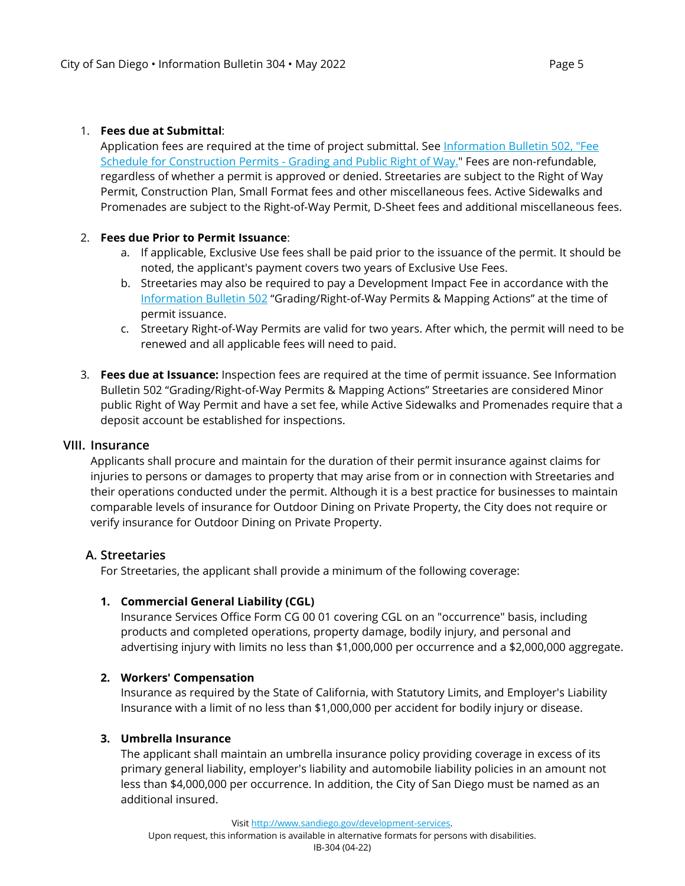#### 1. **Fees due at Submittal**:

Application fees are required at the time of project submittal. See Information Bulletin 502, "Fee [Schedule for Construction Permits - Grading and Public Right of Way."](https://www.sandiego.gov/sites/default/files/dsdib502_0.pdf) Fees are non-refundable, regardless of whether a permit is approved or denied. Streetaries are subject to the Right of Way Permit, Construction Plan, Small Format fees and other miscellaneous fees. Active Sidewalks and Promenades are subject to the Right-of-Way Permit, D-Sheet fees and additional miscellaneous fees.

#### 2. **Fees due Prior to Permit Issuance**:

- a. If applicable, Exclusive Use fees shall be paid prior to the issuance of the permit. It should be noted, the applicant's payment covers two years of Exclusive Use Fees.
- b. Streetaries may also be required to pay a Development Impact Fee in accordance with the [Information Bulletin](https://www.sandiego.gov/sites/default/files/dsdib502.pdf) 502 "Grading/Right-of-Way Permits & Mapping Actions" at the time of permit issuance.
- c. Streetary Right-of-Way Permits are valid for two years. After which, the permit will need to be renewed and all applicable fees will need to paid.
- 3. **Fees due at Issuance:** Inspection fees are required at the time of permit issuance. See Information Bulletin 502 "Grading/Right-of-Way Permits & Mapping Actions" Streetaries are considered Minor public Right of Way Permit and have a set fee, while Active Sidewalks and Promenades require that a deposit account be established for inspections.

#### **VIII. Insurance**

Applicants shall procure and maintain for the duration of their permit insurance against claims for injuries to persons or damages to property that may arise from or in connection with Streetaries and their operations conducted under the permit. Although it is a best practice for businesses to maintain comparable levels of insurance for Outdoor Dining on Private Property, the City does not require or verify insurance for Outdoor Dining on Private Property.

## **A. Streetaries**

For Streetaries, the applicant shall provide a minimum of the following coverage:

#### **1. Commercial General Liability (CGL)**

Insurance Services Office Form CG 00 01 covering CGL on an "occurrence" basis, including products and completed operations, property damage, bodily injury, and personal and advertising injury with limits no less than \$1,000,000 per occurrence and a \$2,000,000 aggregate.

#### **2. Workers' Compensation**

Insurance as required by the State of California, with Statutory Limits, and Employer's Liability Insurance with a limit of no less than \$1,000,000 per accident for bodily injury or disease.

# **3. Umbrella Insurance**

The applicant shall maintain an umbrella insurance policy providing coverage in excess of its primary general liability, employer's liability and automobile liability policies in an amount not less than \$4,000,000 per occurrence. In addition, the City of San Diego must be named as an additional insured.

Visi[t http://www.sandiego.gov/development-services.](http://www.sandiego.gov/development-services)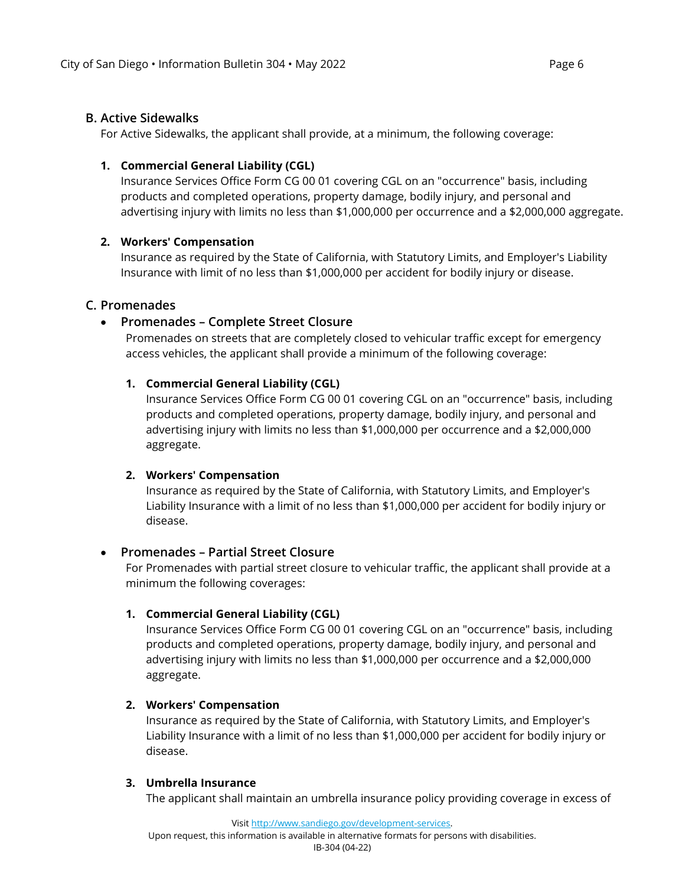## **B. Active Sidewalks**

For Active Sidewalks, the applicant shall provide, at a minimum, the following coverage:

## **1. Commercial General Liability (CGL)**

Insurance Services Office Form CG 00 01 covering CGL on an "occurrence" basis, including products and completed operations, property damage, bodily injury, and personal and advertising injury with limits no less than \$1,000,000 per occurrence and a \$2,000,000 aggregate.

#### **2. Workers' Compensation**

Insurance as required by the State of California, with Statutory Limits, and Employer's Liability Insurance with limit of no less than \$1,000,000 per accident for bodily injury or disease.

## **C. Promenades**

# • **Promenades – Complete Street Closure**

Promenades on streets that are completely closed to vehicular traffic except for emergency access vehicles, the applicant shall provide a minimum of the following coverage:

## **1. Commercial General Liability (CGL)**

Insurance Services Office Form CG 00 01 covering CGL on an "occurrence" basis, including products and completed operations, property damage, bodily injury, and personal and advertising injury with limits no less than \$1,000,000 per occurrence and a \$2,000,000 aggregate.

#### **2. Workers' Compensation**

Insurance as required by the State of California, with Statutory Limits, and Employer's Liability Insurance with a limit of no less than \$1,000,000 per accident for bodily injury or disease.

#### • **Promenades – Partial Street Closure**

For Promenades with partial street closure to vehicular traffic, the applicant shall provide at a minimum the following coverages:

#### **1. Commercial General Liability (CGL)**

Insurance Services Office Form CG 00 01 covering CGL on an "occurrence" basis, including products and completed operations, property damage, bodily injury, and personal and advertising injury with limits no less than \$1,000,000 per occurrence and a \$2,000,000 aggregate.

#### **2. Workers' Compensation**

Insurance as required by the State of California, with Statutory Limits, and Employer's Liability Insurance with a limit of no less than \$1,000,000 per accident for bodily injury or disease.

#### **3. Umbrella Insurance**

The applicant shall maintain an umbrella insurance policy providing coverage in excess of